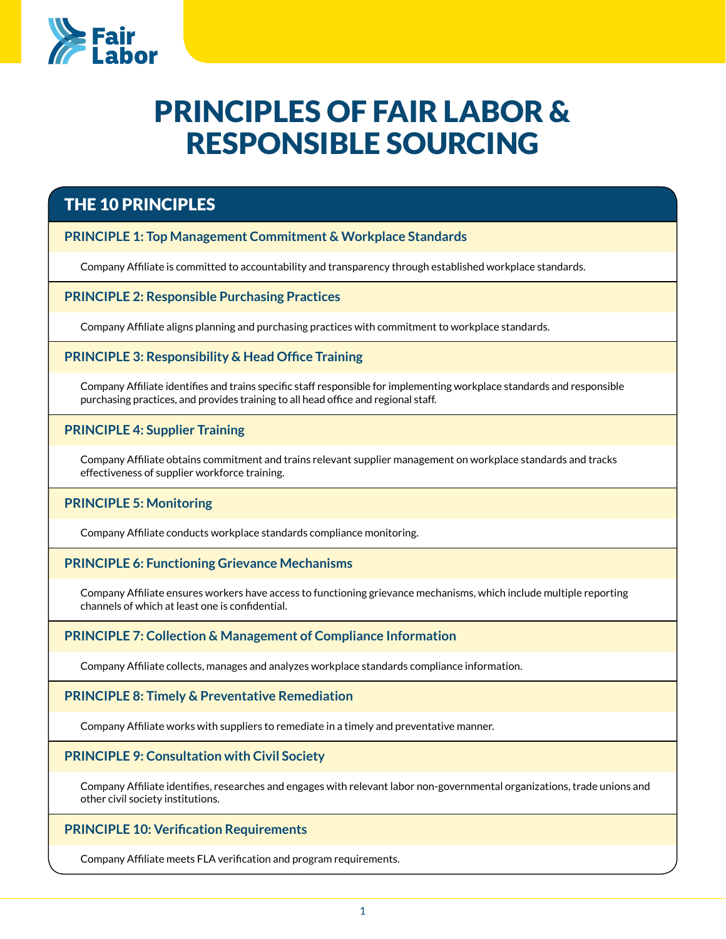

# Principles of Fair Labor & Responsible Sourcing

## The 10 principles

### **Principle 1: Top Management Commitment & Workplace Standards**

Company Affiliate is committed to accountability and transparency through established workplace standards.

### **Principle 2: Responsible Purchasing Practices**

Company Affiliate aligns planning and purchasing practices with commitment to workplace standards.

### **Principle 3: Responsibility & Head Office Training**

Company Affiliate identifies and trains specific staff responsible for implementing workplace standards and responsible purchasing practices, and provides training to all head office and regional staff.

### **PRINCIPLE 4: Supplier Training**

Company Affiliate obtains commitment and trains relevant supplier management on workplace standards and tracks effectiveness of supplier workforce training.

### **PRINCIPLE 5: Monitoring**

Company Affiliate conducts workplace standards compliance monitoring.

### **Principle 6: Functioning Grievance Mechanisms**

Company Affiliate ensures workers have access to functioning grievance mechanisms, which include multiple reporting channels of which at least one is confidential.

### **Principle 7: Collection & Management of Compliance Information**

Company Affiliate collects, manages and analyzes workplace standards compliance information.

### **Principle 8: Timely & Preventative Remediation**

Company Affiliate works with suppliers to remediate in a timely and preventative manner.

### **Principle 9: Consultation with Civil Society**

Company Affiliate identifies, researches and engages with relevant labor non-governmental organizations, trade unions and other civil society institutions.

**Principle 10: Verification Requirements**

Company Affiliate meets FLA verification and program requirements.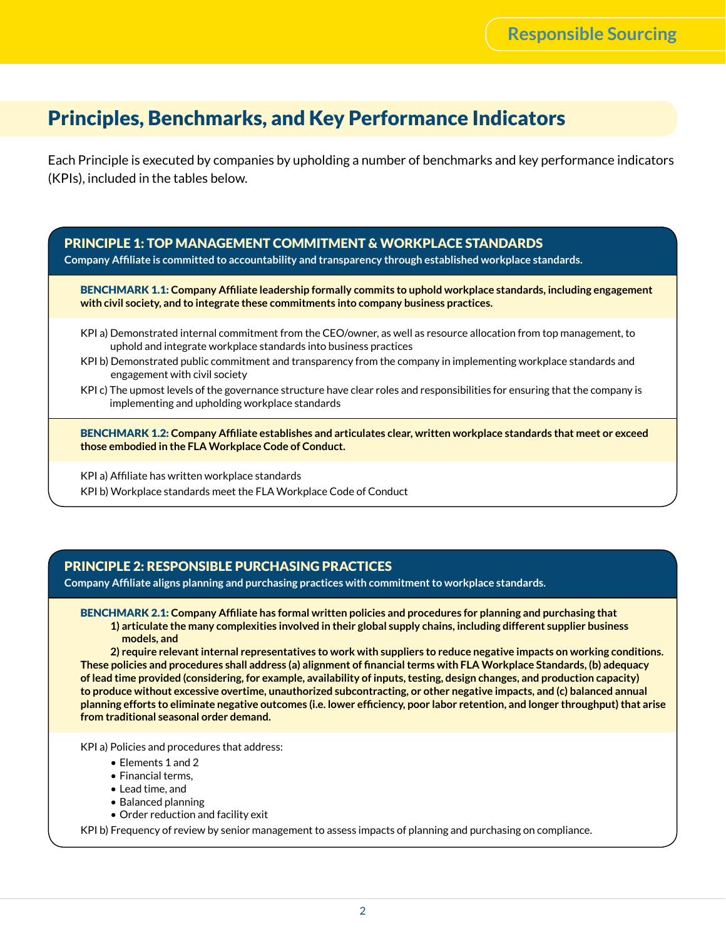# Principles, Benchmarks, and Key Performance Indicators

Each Principle is executed by companies by upholding a number of benchmarks and key performance indicators (KPIs), included in the tables below.

Principle 1: Top Management Commitment & Workplace Standards

**Company Affiliate is committed to accountability and transparency through established workplace standards.**

Benchmark 1.1: **Company Affiliate leadership formally commits to uphold workplace standards, including engagement with civil society, and to integrate these commitments into company business practices.**

- KPI a) Demonstrated internal commitment from the CEO/owner, as well as resource allocation from top management, to uphold and integrate workplace standards into business practices
- KPI b) Demonstrated public commitment and transparency from the company in implementing workplace standards and engagement with civil society
- KPI c) The upmost levels of the governance structure have clear roles and responsibilities for ensuring that the company is implementing and upholding workplace standards

Benchmark 1.2: **Company Affiliate establishes and articulates clear, written workplace standards that meet or exceed those embodied in the FLA Workplace Code of Conduct.**

KPI a) Affiliate has written workplace standards KPI b) Workplace standards meet the FLA Workplace Code of Conduct

### Principle 2: Responsible Purchasing Practices

**Company Affiliate aligns planning and purchasing practices with commitment to workplace standards.**

Benchmark 2.1: **Company Affiliate has formal written policies and procedures for planning and purchasing that 1) articulate the many complexities involved in their global supply chains, including different supplier business models, and** 

**2) require relevant internal representatives to work with suppliers to reduce negative impacts on working conditions. These policies and procedures shall address (a) alignment of financial terms with FLA Workplace Standards, (b) adequacy of lead time provided (considering, for example, availability of inputs, testing, design changes, and production capacity) to produce without excessive overtime, unauthorized subcontracting, or other negative impacts, and (c) balanced annual planning efforts to eliminate negative outcomes (i.e. lower efficiency, poor labor retention, and longer throughput) that arise from traditional seasonal order demand.**

KPI a) Policies and procedures that address:

- Elements 1 and 2
- Financial terms,
- Lead time, and
- Balanced planning
- Order reduction and facility exit

KPI b) Frequency of review by senior management to assess impacts of planning and purchasing on compliance.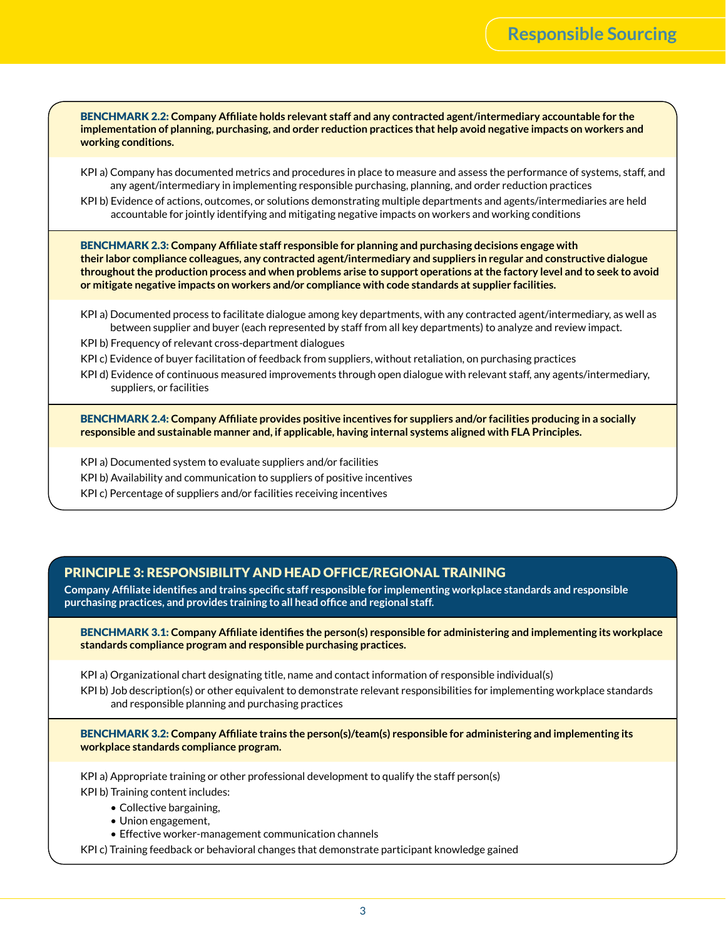Benchmark 2.2: **Company Affiliate holds relevant staff and any contracted agent/intermediary accountable for the implementation of planning, purchasing, and order reduction practices that help avoid negative impacts on workers and working conditions.**

- KPI a) Company has documented metrics and procedures in place to measure and assess the performance of systems, staff, and any agent/intermediary in implementing responsible purchasing, planning, and order reduction practices
- KPI b) Evidence of actions, outcomes, or solutions demonstrating multiple departments and agents/intermediaries are held accountable for jointly identifying and mitigating negative impacts on workers and working conditions

Benchmark 2.3: **Company Affiliate staff responsible for planning and purchasing decisions engage with their labor compliance colleagues, any contracted agent/intermediary and suppliers in regular and constructive dialogue throughout the production process and when problems arise to support operations at the factory level and to seek to avoid or mitigate negative impacts on workers and/or compliance with code standards at supplier facilities.**

- KPI a) Documented process to facilitate dialogue among key departments, with any contracted agent/intermediary, as well as between supplier and buyer (each represented by staff from all key departments) to analyze and review impact.
- KPI b) Frequency of relevant cross-department dialogues
- KPI c) Evidence of buyer facilitation of feedback from suppliers, without retaliation, on purchasing practices
- KPI d) Evidence of continuous measured improvements through open dialogue with relevant staff, any agents/intermediary, suppliers, or facilities

Benchmark 2.4: **Company Affiliate provides positive incentives for suppliers and/or facilities producing in a socially responsible and sustainable manner and, if applicable, having internal systems aligned with FLA Principles.**

- KPI a) Documented system to evaluate suppliers and/or facilities
- KPI b) Availability and communication to suppliers of positive incentives
- KPI c) Percentage of suppliers and/or facilities receiving incentives

### Principle 3: Responsibility and Head Office/Regional Training

**Company Affiliate identifies and trains specific staff responsible for implementing workplace standards and responsible purchasing practices, and provides training to all head office and regional staff.** 

Benchmark 3.1: **Company Affiliate identifies the person(s) responsible for administering and implementing its workplace standards compliance program and responsible purchasing practices.**

KPI a) Organizational chart designating title, name and contact information of responsible individual(s) KPI b) Job description(s) or other equivalent to demonstrate relevant responsibilities for implementing workplace standards and responsible planning and purchasing practices

Benchmark 3.2: **Company Affiliate trains the person(s)/team(s) responsible for administering and implementing its workplace standards compliance program.**

KPI a) Appropriate training or other professional development to qualify the staff person(s) KPI b) Training content includes:

- Collective bargaining,
- Union engagement,
- Effective worker-management communication channels

KPI c) Training feedback or behavioral changes that demonstrate participant knowledge gained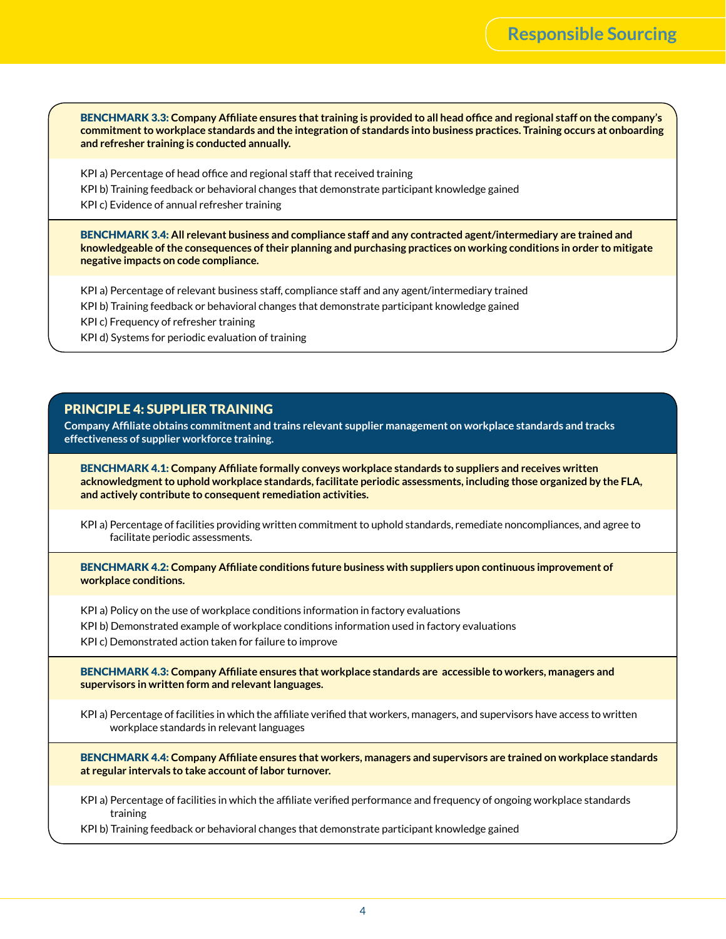Benchmark 3.3: **Company Affiliate ensures that training is provided to all head office and regional staff on the company's commitment to workplace standards and the integration of standards into business practices. Training occurs at onboarding and refresher training is conducted annually.**

KPI a) Percentage of head office and regional staff that received training

KPI b) Training feedback or behavioral changes that demonstrate participant knowledge gained

KPI c) Evidence of annual refresher training

Benchmark 3.4: **All relevant business and compliance staff and any contracted agent/intermediary are trained and knowledgeable of the consequences of their planning and purchasing practices on working conditions in order to mitigate negative impacts on code compliance.**

KPI a) Percentage of relevant business staff, compliance staff and any agent/intermediary trained

KPI b) Training feedback or behavioral changes that demonstrate participant knowledge gained

KPI c) Frequency of refresher training

KPI d) Systems for periodic evaluation of training

### Principle 4: Supplier Training

**Company Affiliate obtains commitment and trains relevant supplier management on workplace standards and tracks effectiveness of supplier workforce training.** 

Benchmark 4.1: **Company Affiliate formally conveys workplace standards to suppliers and receives written acknowledgment to uphold workplace standards, facilitate periodic assessments, including those organized by the FLA, and actively contribute to consequent remediation activities.** 

KPI a) Percentage of facilities providing written commitment to uphold standards, remediate noncompliances, and agree to facilitate periodic assessments.

BENCHMARK 4.2: Company Affiliate conditions future business with suppliers upon continuous improvement of **workplace conditions.**

KPI a) Policy on the use of workplace conditions information in factory evaluations

KPI b) Demonstrated example of workplace conditions information used in factory evaluations

KPI c) Demonstrated action taken for failure to improve

Benchmark 4.3: **Company Affiliate ensures that workplace standards are accessible to workers, managers and supervisors in written form and relevant languages.** 

KPI a) Percentage of facilities in which the affiliate verified that workers, managers, and supervisors have access to written workplace standards in relevant languages

Benchmark 4.4: **Company Affiliate ensures that workers, managers and supervisors are trained on workplace standards at regular intervals to take account of labor turnover.**

KPI a) Percentage of facilities in which the affiliate verified performance and frequency of ongoing workplace standards training

KPI b) Training feedback or behavioral changes that demonstrate participant knowledge gained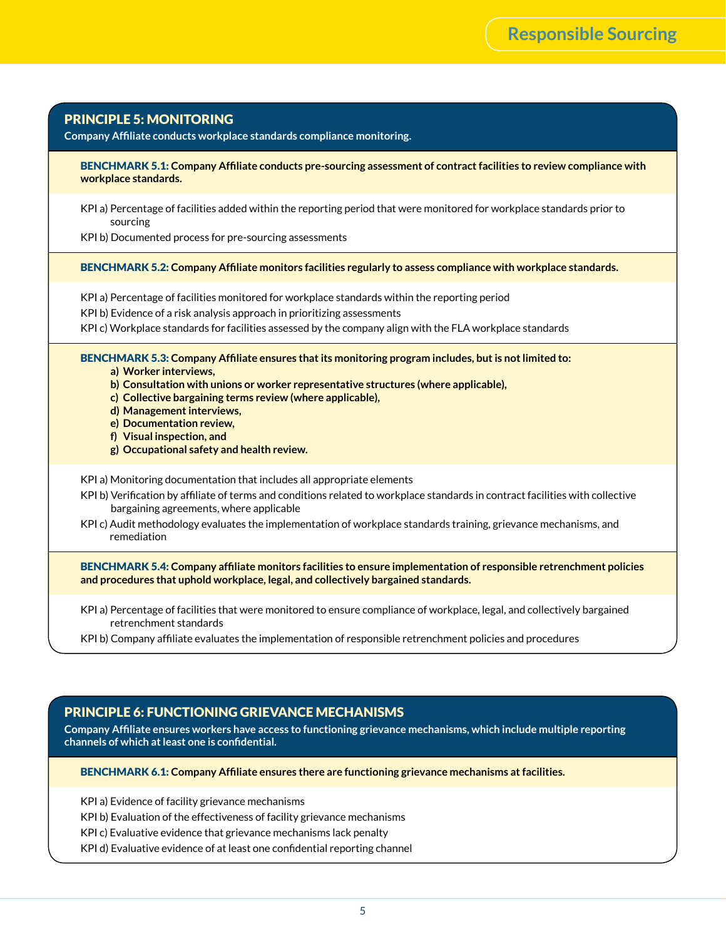| <b>PRINCIPLE 5: MONITORING</b><br>Company Affiliate conducts workplace standards compliance monitoring. |                                                                                                                                                                                                                                                                                                                                                                                                                       |
|---------------------------------------------------------------------------------------------------------|-----------------------------------------------------------------------------------------------------------------------------------------------------------------------------------------------------------------------------------------------------------------------------------------------------------------------------------------------------------------------------------------------------------------------|
|                                                                                                         | BENCHMARK 5.1: Company Affiliate conducts pre-sourcing assessment of contract facilities to review compliance with<br>workplace standards.                                                                                                                                                                                                                                                                            |
|                                                                                                         | KPI a) Percentage of facilities added within the reporting period that were monitored for workplace standards prior to<br>sourcing<br>KPI b) Documented process for pre-sourcing assessments                                                                                                                                                                                                                          |
|                                                                                                         | BENCHMARK 5.2: Company Affiliate monitors facilities regularly to assess compliance with workplace standards.                                                                                                                                                                                                                                                                                                         |
|                                                                                                         | KPI a) Percentage of facilities monitored for workplace standards within the reporting period<br>KPI b) Evidence of a risk analysis approach in prioritizing assessments<br>KPI c) Workplace standards for facilities assessed by the company align with the FLA workplace standards                                                                                                                                  |
|                                                                                                         | BENCHMARK 5.3: Company Affiliate ensures that its monitoring program includes, but is not limited to:<br>a) Worker interviews,<br>b) Consultation with unions or worker representative structures (where applicable),<br>c) Collective bargaining terms review (where applicable),<br>d) Management interviews,<br>e) Documentation review,<br>f) Visual inspection, and<br>g) Occupational safety and health review. |
|                                                                                                         | KPI a) Monitoring documentation that includes all appropriate elements<br>KPI b) Verification by affiliate of terms and conditions related to workplace standards in contract facilities with collective<br>bargaining agreements, where applicable<br>KPI c) Audit methodology evaluates the implementation of workplace standards training, grievance mechanisms, and<br>remediation                                |
|                                                                                                         | BENCHMARK 5.4: Company affiliate monitors facilities to ensure implementation of responsible retrenchment policies<br>and procedures that uphold workplace, legal, and collectively bargained standards.                                                                                                                                                                                                              |
|                                                                                                         | KPI a) Percentage of facilities that were monitored to ensure compliance of workplace, legal, and collectively bargained                                                                                                                                                                                                                                                                                              |

KPI b) Company affiliate evaluates the implementation of responsible retrenchment policies and procedures

### Principle 6: Functioning Grievance Mechanisms

**Company Affiliate ensures workers have access to functioning grievance mechanisms, which include multiple reporting channels of which at least one is confidential.** 

Benchmark 6.1: **Company Affiliate ensures there are functioning grievance mechanisms at facilities.**

KPI a) Evidence of facility grievance mechanisms

retrenchment standards

KPI b) Evaluation of the effectiveness of facility grievance mechanisms

KPI c) Evaluative evidence that grievance mechanisms lack penalty

KPI d) Evaluative evidence of at least one confidential reporting channel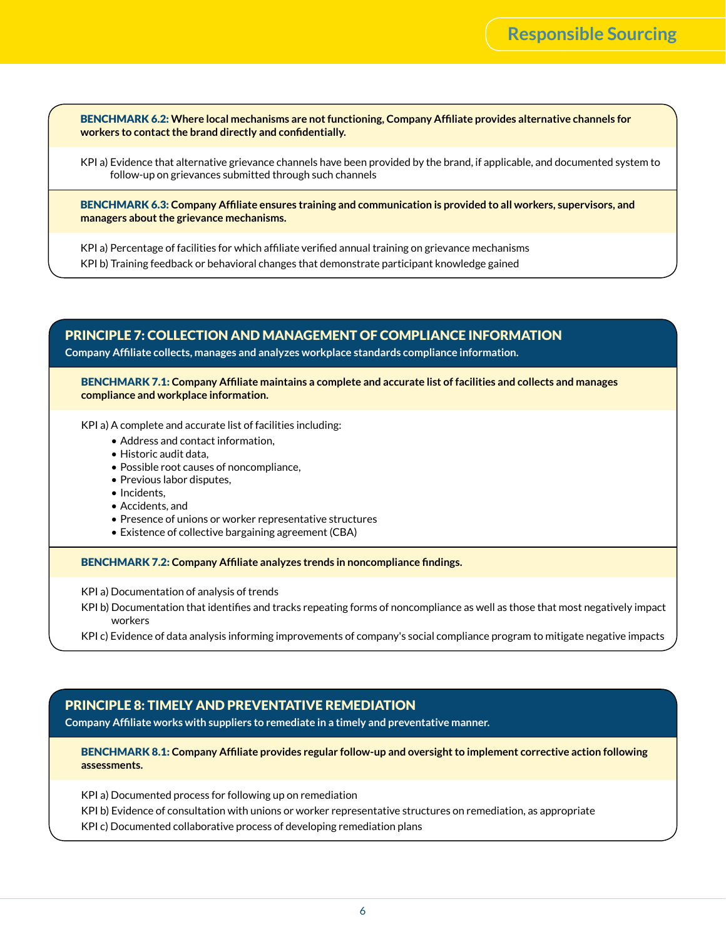Benchmark 6.2: **Where local mechanisms are not functioning, Company Affiliate provides alternative channels for workers to contact the brand directly and confidentially.**

KPI a) Evidence that alternative grievance channels have been provided by the brand, if applicable, and documented system to follow-up on grievances submitted through such channels

Benchmark 6.3: **Company Affiliate ensures training and communication is provided to all workers, supervisors, and managers about the grievance mechanisms.**

KPI a) Percentage of facilities for which affiliate verified annual training on grievance mechanisms KPI b) Training feedback or behavioral changes that demonstrate participant knowledge gained

### Principle 7: Collection and Management of Compliance Information **Company Affiliate collects, manages and analyzes workplace standards compliance information.**

Benchmark 7.1: **Company Affiliate maintains a complete and accurate list of facilities and collects and manages compliance and workplace information.**

KPI a) A complete and accurate list of facilities including:

- Address and contact information,
- Historic audit data,
- Possible root causes of noncompliance,
- Previous labor disputes,
- Incidents,
- Accidents, and
- Presence of unions or worker representative structures
- Existence of collective bargaining agreement (CBA)

Benchmark 7.2: **Company Affiliate analyzes trends in noncompliance findings.**

KPI a) Documentation of analysis of trends

- KPI b) Documentation that identifies and tracks repeating forms of noncompliance as well as those that most negatively impact workers
- KPI c) Evidence of data analysis informing improvements of company's social compliance program to mitigate negative impacts

### Principle 8: Timely and Preventative Remediation

**Company Affiliate works with suppliers to remediate in a timely and preventative manner.** 

#### Benchmark 8.1: **Company Affiliate provides regular follow-up and oversight to implement corrective action following assessments.**

KPI a) Documented process for following up on remediation

KPI b) Evidence of consultation with unions or worker representative structures on remediation, as appropriate

KPI c) Documented collaborative process of developing remediation plans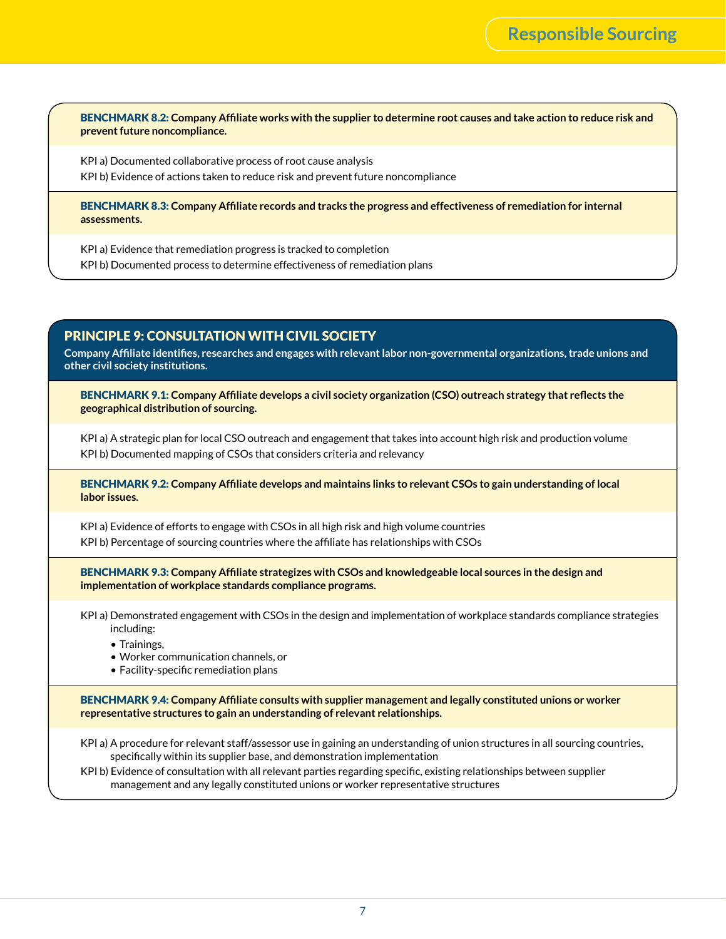Benchmark 8.2: **Company Affiliate works with the supplier to determine root causes and take action to reduce risk and prevent future noncompliance.**

KPI a) Documented collaborative process of root cause analysis

KPI b) Evidence of actions taken to reduce risk and prevent future noncompliance

Benchmark 8.3: **Company Affiliate records and tracks the progress and effectiveness of remediation for internal assessments.**

KPI a) Evidence that remediation progress is tracked to completion KPI b) Documented process to determine effectiveness of remediation plans

### Principle 9: Consultation with Civil Society

**Company Affiliate identifies, researches and engages with relevant labor non-governmental organizations, trade unions and other civil society institutions.**

Benchmark 9.1: **Company Affiliate develops a civil society organization (CSO) outreach strategy that reflects the geographical distribution of sourcing.**

KPI a) A strategic plan for local CSO outreach and engagement that takes into account high risk and production volume KPI b) Documented mapping of CSOs that considers criteria and relevancy

Benchmark 9.2: **Company Affiliate develops and maintains links to relevant CSOs to gain understanding of local labor issues.**

KPI a) Evidence of efforts to engage with CSOs in all high risk and high volume countries KPI b) Percentage of sourcing countries where the affiliate has relationships with CSOs

Benchmark 9.3: **Company Affiliate strategizes with CSOs and knowledgeable local sources in the design and implementation of workplace standards compliance programs.**

KPI a) Demonstrated engagement with CSOs in the design and implementation of workplace standards compliance strategies including:

- Trainings,
- Worker communication channels, or
- Facility-specific remediation plans

Benchmark 9.4: **Company Affiliate consults with supplier management and legally constituted unions or worker representative structures to gain an understanding of relevant relationships.**

KPI a) A procedure for relevant staff/assessor use in gaining an understanding of union structures in all sourcing countries, specifically within its supplier base, and demonstration implementation

KPI b) Evidence of consultation with all relevant parties regarding specific, existing relationships between supplier management and any legally constituted unions or worker representative structures